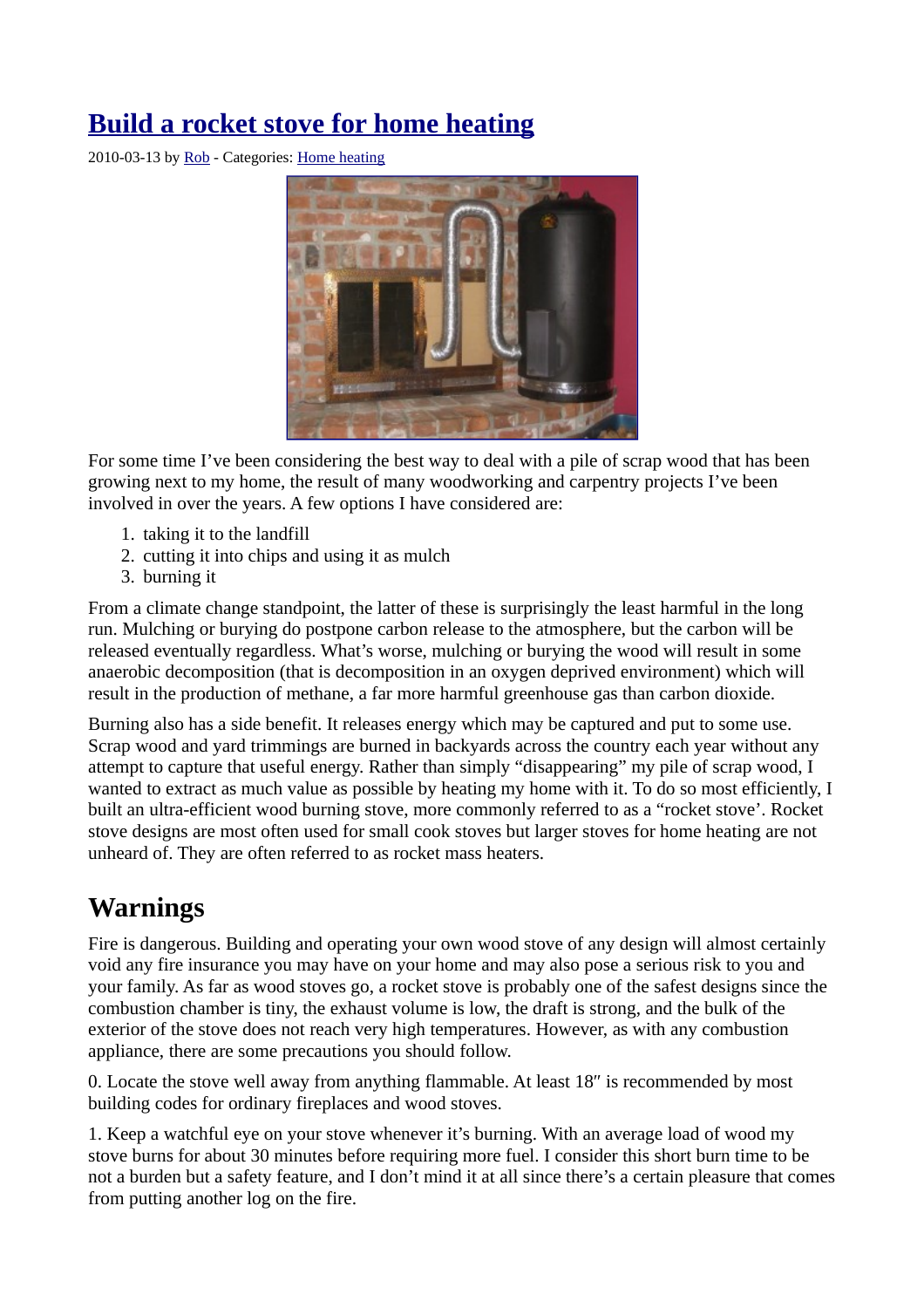### **Build a rocket stove for home heating**

2010-03-13 by [Rob](http://www.iwilltry.org/b/author/rob/) - Categories: [Home heating](http://www.iwilltry.org/b/category/home-heating/)



For some time I've been considering the best way to deal with a pile of scrap wood that has been growing next to my home, the result of many woodworking and carpentry projects I've been involved in over the years. A few options I have considered are:

- 1. taking it to the landfill
- 2. cutting it into chips and using it as mulch
- 3. burning it

From a climate change standpoint, the latter of these is surprisingly the least harmful in the long run. Mulching or burying do postpone carbon release to the atmosphere, but the carbon will be released eventually regardless. What's worse, mulching or burying the wood will result in some anaerobic decomposition (that is decomposition in an oxygen deprived environment) which will result in the production of methane, a far more harmful greenhouse gas than carbon dioxide.

Burning also has a side benefit. It releases energy which may be captured and put to some use. Scrap wood and yard trimmings are burned in backyards across the country each year without any attempt to capture that useful energy. Rather than simply "disappearing" my pile of scrap wood, I wanted to extract as much value as possible by heating my home with it. To do so most efficiently, I built an ultra-efficient wood burning stove, more commonly referred to as a "rocket stove'. Rocket stove designs are most often used for small cook stoves but larger stoves for home heating are not unheard of. They are often referred to as rocket mass heaters.

#### **Warnings**

Fire is dangerous. Building and operating your own wood stove of any design will almost certainly void any fire insurance you may have on your home and may also pose a serious risk to you and your family. As far as wood stoves go, a rocket stove is probably one of the safest designs since the combustion chamber is tiny, the exhaust volume is low, the draft is strong, and the bulk of the exterior of the stove does not reach very high temperatures. However, as with any combustion appliance, there are some precautions you should follow.

0. Locate the stove well away from anything flammable. At least 18″ is recommended by most building codes for ordinary fireplaces and wood stoves.

1. Keep a watchful eye on your stove whenever it's burning. With an average load of wood my stove burns for about 30 minutes before requiring more fuel. I consider this short burn time to be not a burden but a safety feature, and I don't mind it at all since there's a certain pleasure that comes from putting another log on the fire.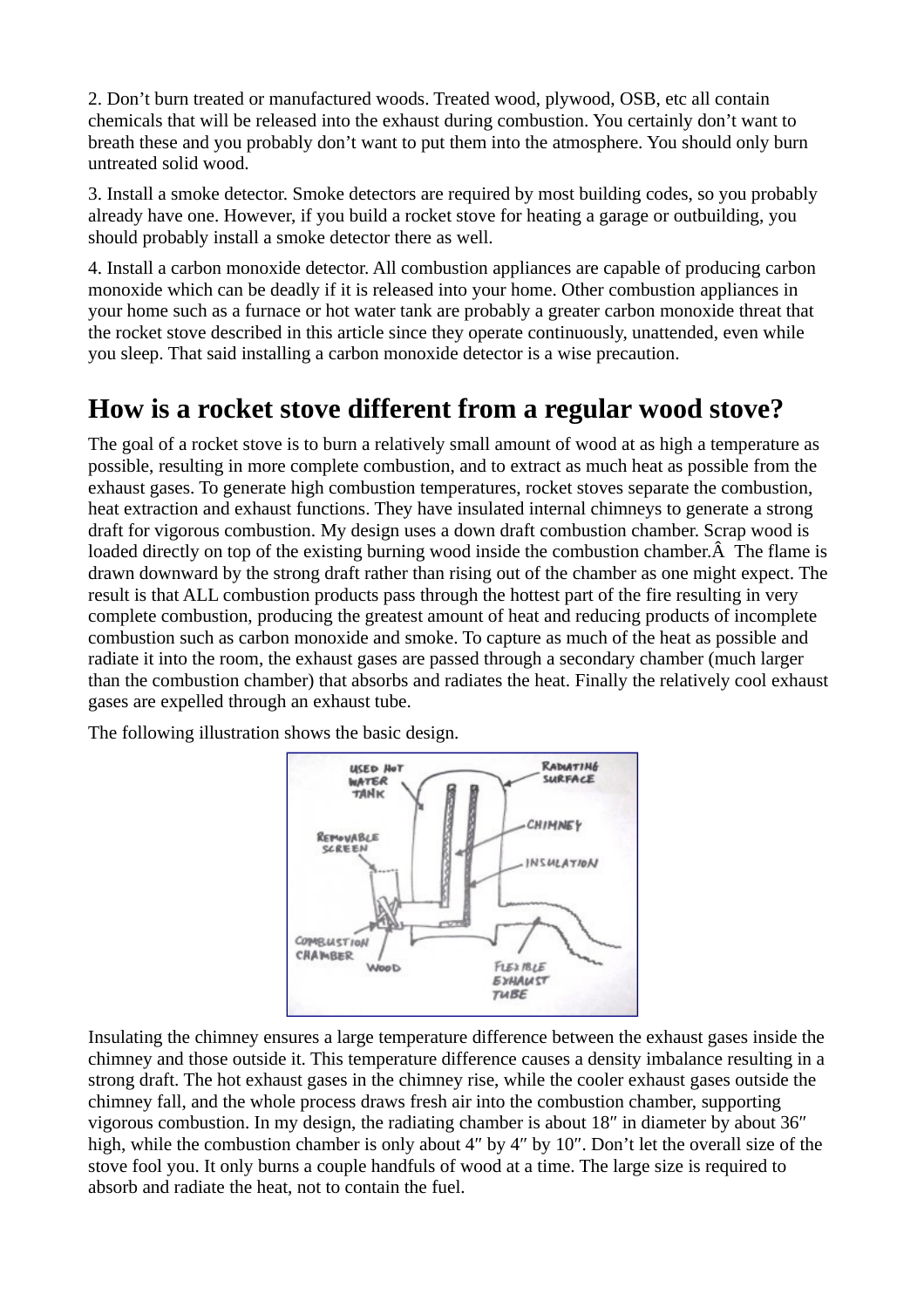2. Don't burn treated or manufactured woods. Treated wood, plywood, OSB, etc all contain chemicals that will be released into the exhaust during combustion. You certainly don't want to breath these and you probably don't want to put them into the atmosphere. You should only burn untreated solid wood.

3. Install a smoke detector. Smoke detectors are required by most building codes, so you probably already have one. However, if you build a rocket stove for heating a garage or outbuilding, you should probably install a smoke detector there as well.

4. Install a carbon monoxide detector. All combustion appliances are capable of producing carbon monoxide which can be deadly if it is released into your home. Other combustion appliances in your home such as a furnace or hot water tank are probably a greater carbon monoxide threat that the rocket stove described in this article since they operate continuously, unattended, even while you sleep. That said installing a carbon monoxide detector is a wise precaution.

#### **How is a rocket stove different from a regular wood stove?**

The goal of a rocket stove is to burn a relatively small amount of wood at as high a temperature as possible, resulting in more complete combustion, and to extract as much heat as possible from the exhaust gases. To generate high combustion temperatures, rocket stoves separate the combustion, heat extraction and exhaust functions. They have insulated internal chimneys to generate a strong draft for vigorous combustion. My design uses a down draft combustion chamber. Scrap wood is loaded directly on top of the existing burning wood inside the combustion chamber. $\hat{A}$  The flame is drawn downward by the strong draft rather than rising out of the chamber as one might expect. The result is that ALL combustion products pass through the hottest part of the fire resulting in very complete combustion, producing the greatest amount of heat and reducing products of incomplete combustion such as carbon monoxide and smoke. To capture as much of the heat as possible and radiate it into the room, the exhaust gases are passed through a secondary chamber (much larger than the combustion chamber) that absorbs and radiates the heat. Finally the relatively cool exhaust gases are expelled through an exhaust tube.

The following illustration shows the basic design.



Insulating the chimney ensures a large temperature difference between the exhaust gases inside the chimney and those outside it. This temperature difference causes a density imbalance resulting in a strong draft. The hot exhaust gases in the chimney rise, while the cooler exhaust gases outside the chimney fall, and the whole process draws fresh air into the combustion chamber, supporting vigorous combustion. In my design, the radiating chamber is about 18″ in diameter by about 36″ high, while the combustion chamber is only about 4" by 4" by 10". Don't let the overall size of the stove fool you. It only burns a couple handfuls of wood at a time. The large size is required to absorb and radiate the heat, not to contain the fuel.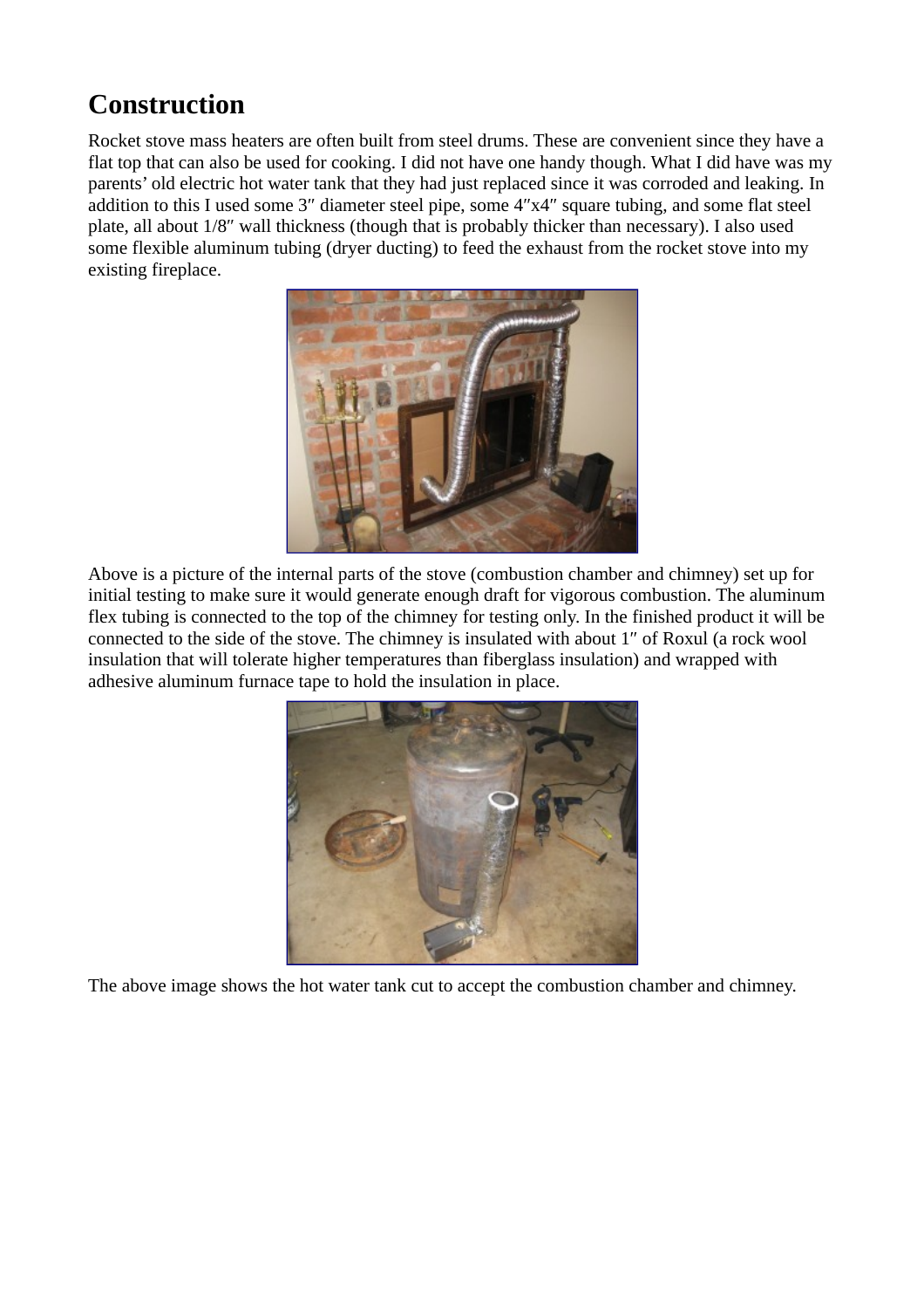#### **Construction**

Rocket stove mass heaters are often built from steel drums. These are convenient since they have a flat top that can also be used for cooking. I did not have one handy though. What I did have was my parents' old electric hot water tank that they had just replaced since it was corroded and leaking. In addition to this I used some 3″ diameter steel pipe, some 4″x4″ square tubing, and some flat steel plate, all about 1/8″ wall thickness (though that is probably thicker than necessary). I also used some flexible aluminum tubing (dryer ducting) to feed the exhaust from the rocket stove into my existing fireplace.



Above is a picture of the internal parts of the stove (combustion chamber and chimney) set up for initial testing to make sure it would generate enough draft for vigorous combustion. The aluminum flex tubing is connected to the top of the chimney for testing only. In the finished product it will be connected to the side of the stove. The chimney is insulated with about 1″ of Roxul (a rock wool insulation that will tolerate higher temperatures than fiberglass insulation) and wrapped with adhesive aluminum furnace tape to hold the insulation in place.



The above image shows the hot water tank cut to accept the combustion chamber and chimney.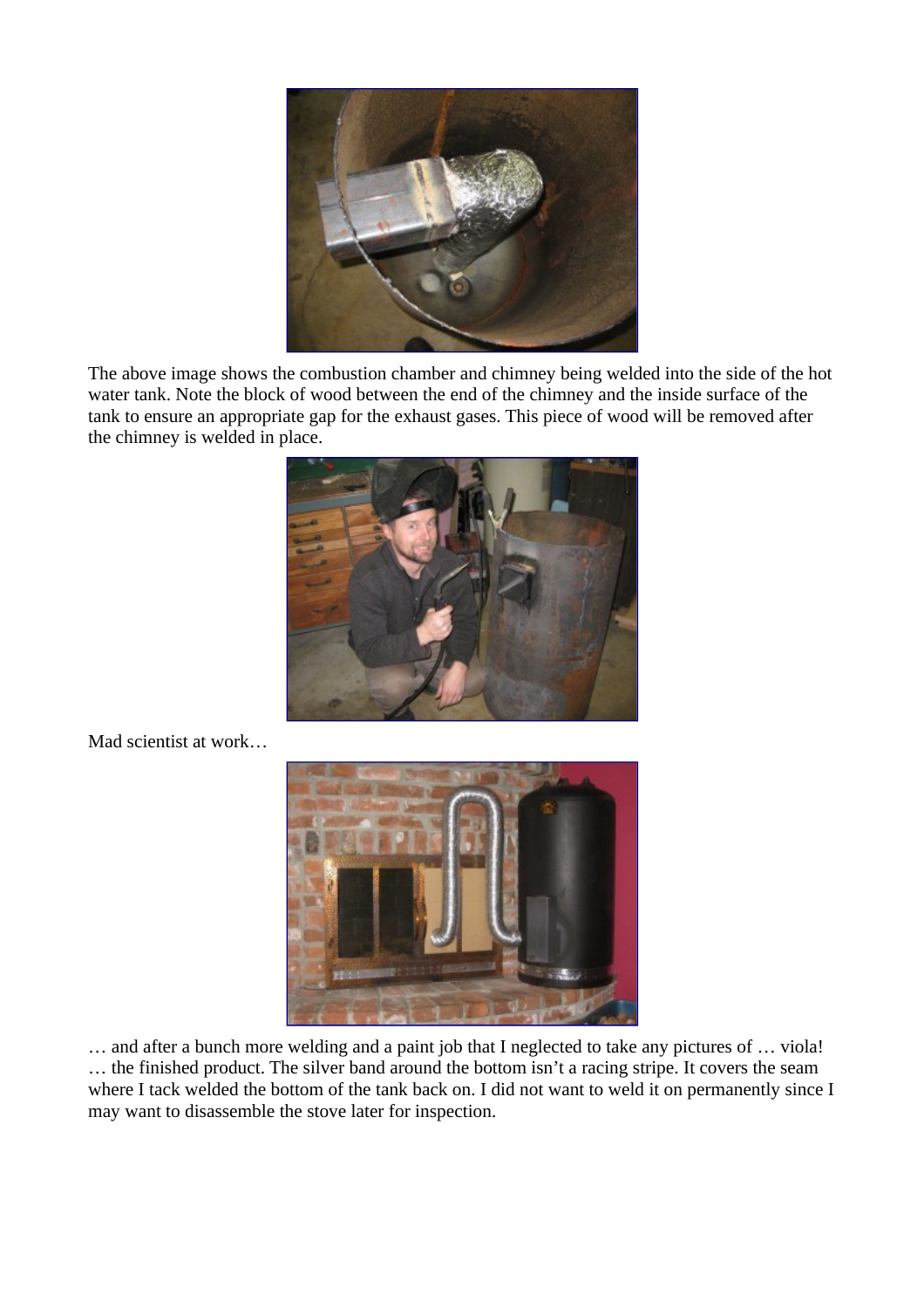

The above image shows the combustion chamber and chimney being welded into the side of the hot water tank. Note the block of wood between the end of the chimney and the inside surface of the tank to ensure an appropriate gap for the exhaust gases. This piece of wood will be removed after the chimney is welded in place.



Mad scientist at work…



… and after a bunch more welding and a paint job that I neglected to take any pictures of … viola! … the finished product. The silver band around the bottom isn't a racing stripe. It covers the seam where I tack welded the bottom of the tank back on. I did not want to weld it on permanently since I may want to disassemble the stove later for inspection.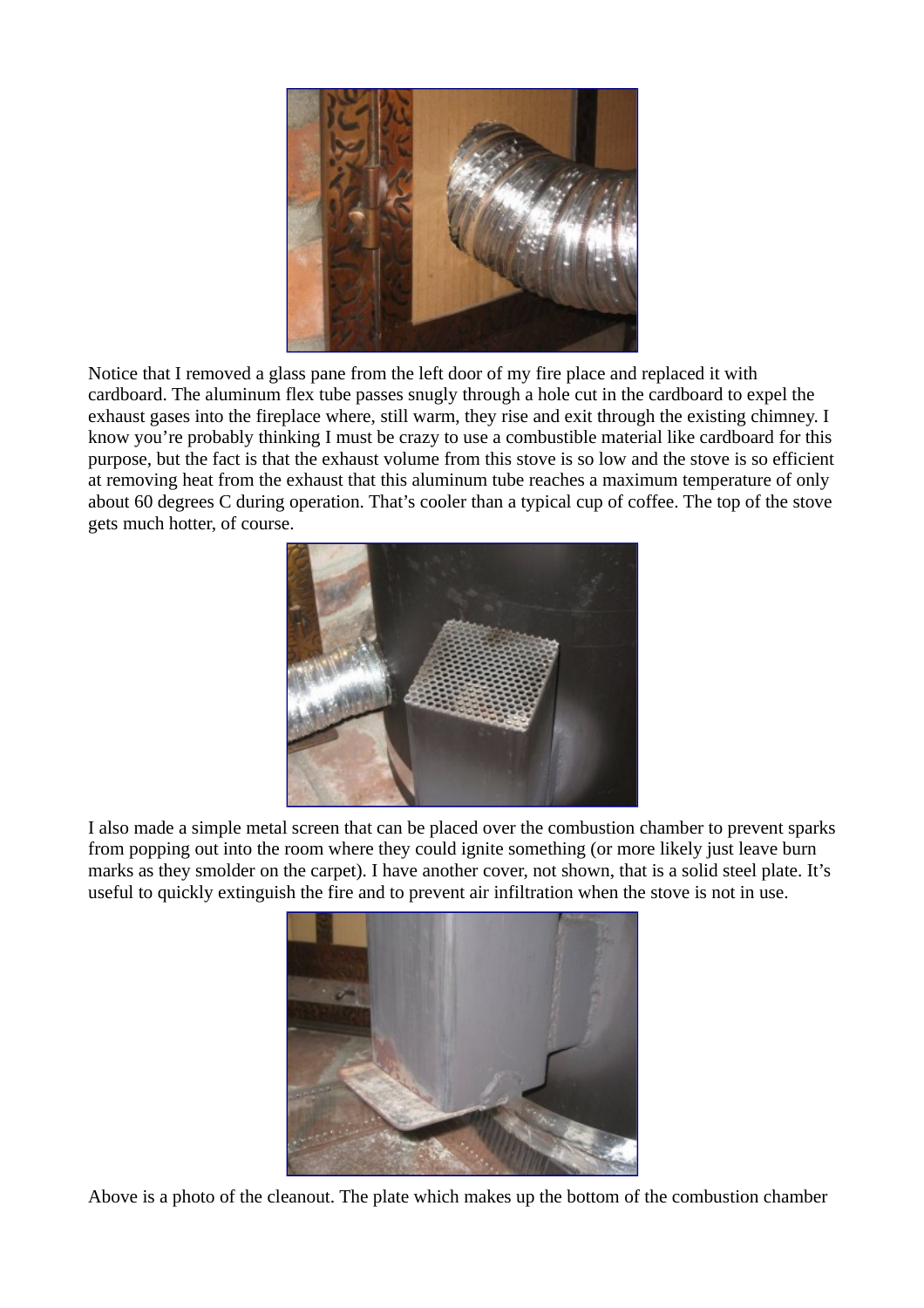

Notice that I removed a glass pane from the left door of my fire place and replaced it with cardboard. The aluminum flex tube passes snugly through a hole cut in the cardboard to expel the exhaust gases into the fireplace where, still warm, they rise and exit through the existing chimney. I know you're probably thinking I must be crazy to use a combustible material like cardboard for this purpose, but the fact is that the exhaust volume from this stove is so low and the stove is so efficient at removing heat from the exhaust that this aluminum tube reaches a maximum temperature of only about 60 degrees C during operation. That's cooler than a typical cup of coffee. The top of the stove gets much hotter, of course.



I also made a simple metal screen that can be placed over the combustion chamber to prevent sparks from popping out into the room where they could ignite something (or more likely just leave burn marks as they smolder on the carpet). I have another cover, not shown, that is a solid steel plate. It's useful to quickly extinguish the fire and to prevent air infiltration when the stove is not in use.



Above is a photo of the cleanout. The plate which makes up the bottom of the combustion chamber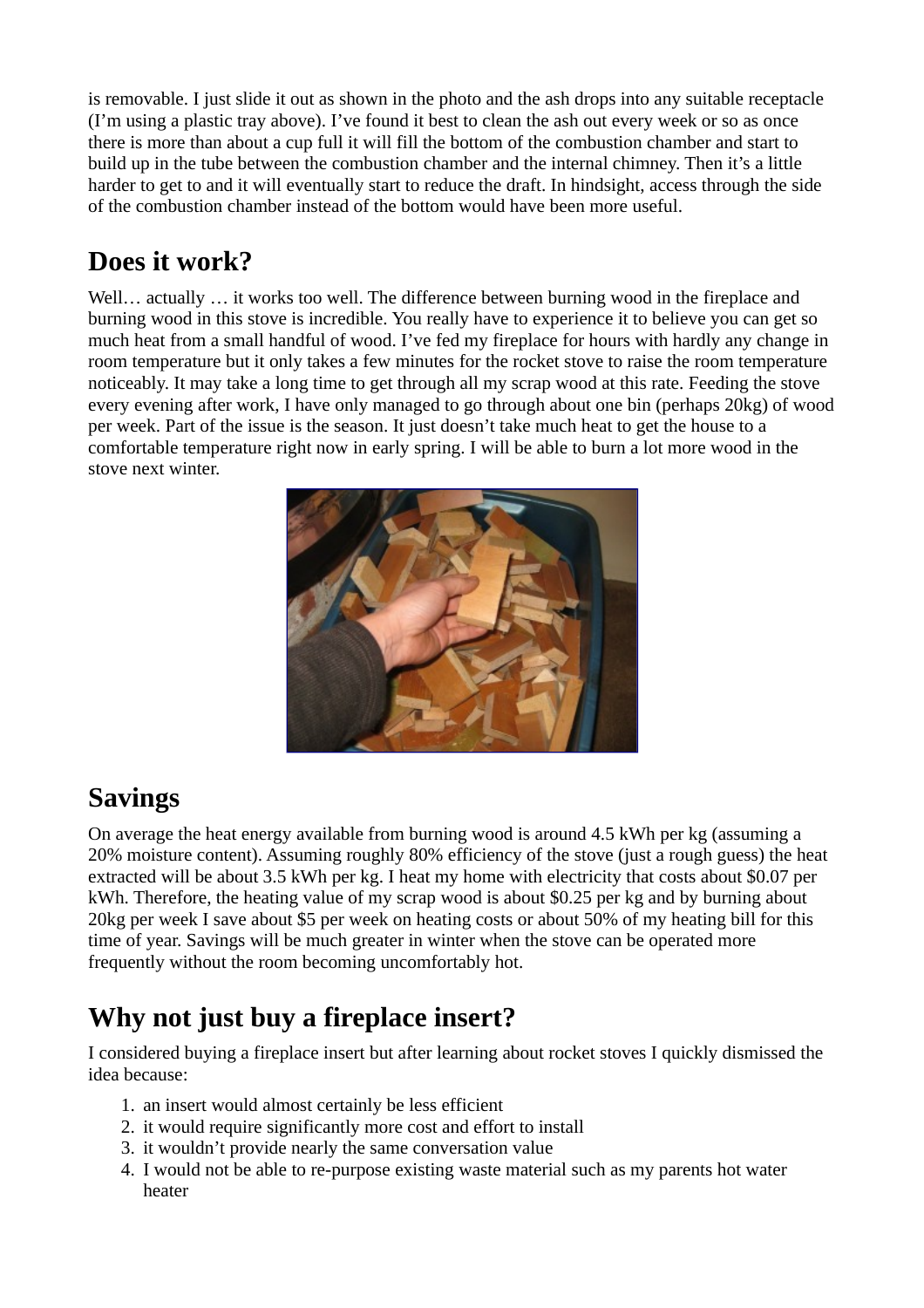is removable. I just slide it out as shown in the photo and the ash drops into any suitable receptacle (I'm using a plastic tray above). I've found it best to clean the ash out every week or so as once there is more than about a cup full it will fill the bottom of the combustion chamber and start to build up in the tube between the combustion chamber and the internal chimney. Then it's a little harder to get to and it will eventually start to reduce the draft. In hindsight, access through the side of the combustion chamber instead of the bottom would have been more useful.

## **Does it work?**

Well... actually ... it works too well. The difference between burning wood in the fireplace and burning wood in this stove is incredible. You really have to experience it to believe you can get so much heat from a small handful of wood. I've fed my fireplace for hours with hardly any change in room temperature but it only takes a few minutes for the rocket stove to raise the room temperature noticeably. It may take a long time to get through all my scrap wood at this rate. Feeding the stove every evening after work, I have only managed to go through about one bin (perhaps 20kg) of wood per week. Part of the issue is the season. It just doesn't take much heat to get the house to a comfortable temperature right now in early spring. I will be able to burn a lot more wood in the stove next winter.



#### **Savings**

On average the heat energy available from burning wood is around 4.5 kWh per kg (assuming a 20% moisture content). Assuming roughly 80% efficiency of the stove (just a rough guess) the heat extracted will be about 3.5 kWh per kg. I heat my home with electricity that costs about \$0.07 per kWh. Therefore, the heating value of my scrap wood is about \$0.25 per kg and by burning about 20kg per week I save about \$5 per week on heating costs or about 50% of my heating bill for this time of year. Savings will be much greater in winter when the stove can be operated more frequently without the room becoming uncomfortably hot.

# **Why not just buy a fireplace insert?**

I considered buying a fireplace insert but after learning about rocket stoves I quickly dismissed the idea because:

- 1. an insert would almost certainly be less efficient
- 2. it would require significantly more cost and effort to install
- 3. it wouldn't provide nearly the same conversation value
- 4. I would not be able to re-purpose existing waste material such as my parents hot water heater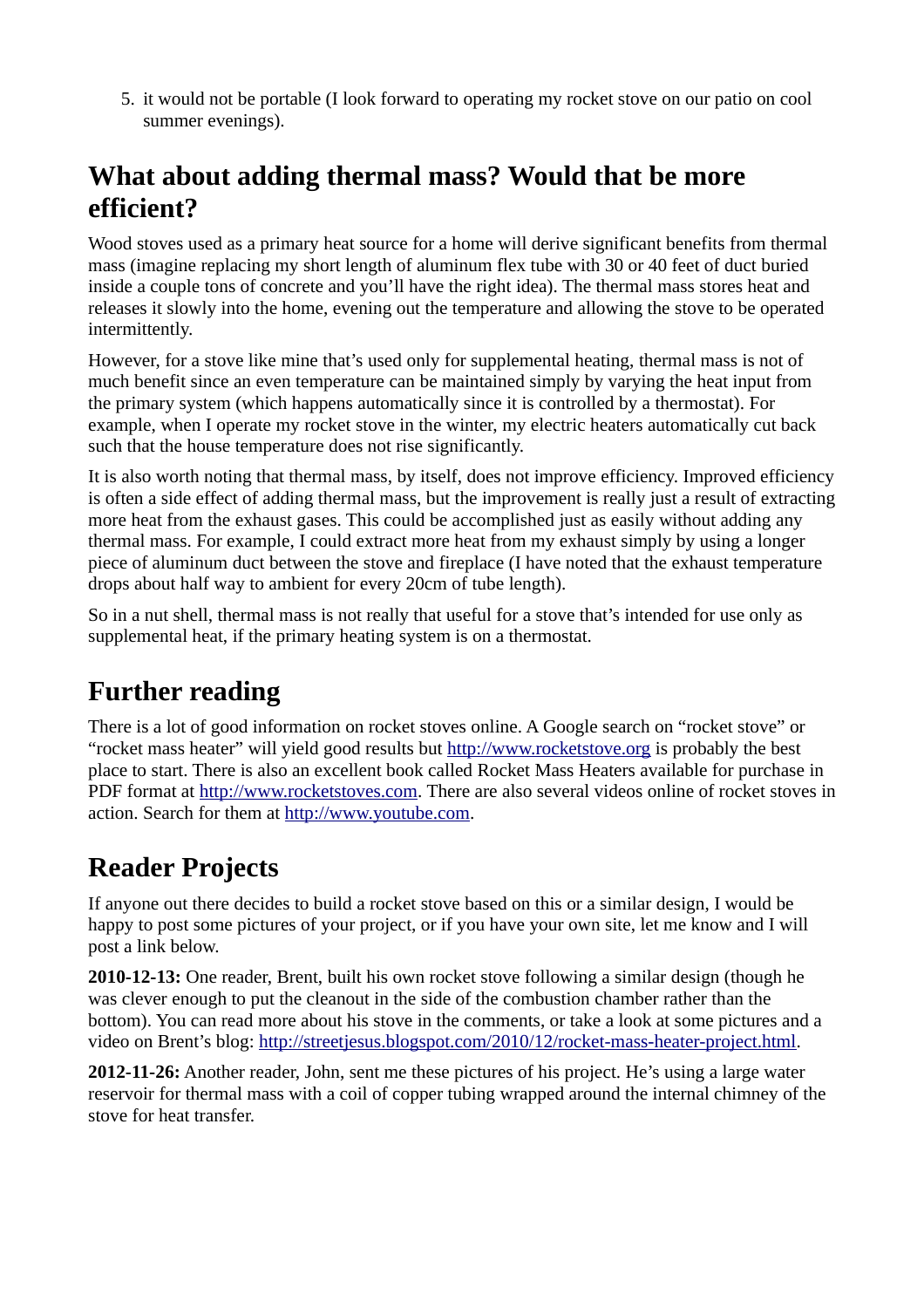5. it would not be portable (I look forward to operating my rocket stove on our patio on cool summer evenings).

#### **What about adding thermal mass? Would that be more efficient?**

Wood stoves used as a primary heat source for a home will derive significant benefits from thermal mass (imagine replacing my short length of aluminum flex tube with 30 or 40 feet of duct buried inside a couple tons of concrete and you'll have the right idea). The thermal mass stores heat and releases it slowly into the home, evening out the temperature and allowing the stove to be operated intermittently.

However, for a stove like mine that's used only for supplemental heating, thermal mass is not of much benefit since an even temperature can be maintained simply by varying the heat input from the primary system (which happens automatically since it is controlled by a thermostat). For example, when I operate my rocket stove in the winter, my electric heaters automatically cut back such that the house temperature does not rise significantly.

It is also worth noting that thermal mass, by itself, does not improve efficiency. Improved efficiency is often a side effect of adding thermal mass, but the improvement is really just a result of extracting more heat from the exhaust gases. This could be accomplished just as easily without adding any thermal mass. For example, I could extract more heat from my exhaust simply by using a longer piece of aluminum duct between the stove and fireplace (I have noted that the exhaust temperature drops about half way to ambient for every 20cm of tube length).

So in a nut shell, thermal mass is not really that useful for a stove that's intended for use only as supplemental heat, if the primary heating system is on a thermostat.

#### **Further reading**

There is a lot of good information on rocket stoves online. A Google search on "rocket stove" or "rocket mass heater" will yield good results but [http://www.rocketstove.org](http://www.rocketstove.org/) is probably the best place to start. There is also an excellent book called Rocket Mass Heaters available for purchase in PDF format at [http://www.rocketstoves.com.](http://www.rocketstoves.com/) There are also several videos online of rocket stoves in action. Search for them at [http://www.youtube.com.](http://www.youtube.com/)

## **Reader Projects**

If anyone out there decides to build a rocket stove based on this or a similar design, I would be happy to post some pictures of your project, or if you have your own site, let me know and I will post a link below.

**2010-12-13:** One reader, Brent, built his own rocket stove following a similar design (though he was clever enough to put the cleanout in the side of the combustion chamber rather than the bottom). You can read more about his stove in the comments, or take a look at some pictures and a video on Brent's blog: [http://streetjesus.blogspot.com/2010/12/rocket-mass-heater-project.html.](http://streetjesus.blogspot.com/2010/12/rocket-mass-heater-project.html)

**2012-11-26:** Another reader, John, sent me these pictures of his project. He's using a large water reservoir for thermal mass with a coil of copper tubing wrapped around the internal chimney of the stove for heat transfer.